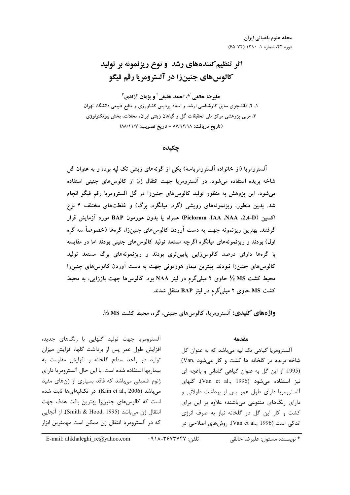# اثر تنظیم کنندههای رشد و نوع ریزنمونه بر تولید **کالوس های جنین زا در آلسترومریا رقم فیگو**

عليرضا خالقي '\*، احمد خليقي ' و يژمان آزادي ' ۱، ۲، دانشجوی سابق کارشناسی ارشد و استاد پردیس کشاورزی و منابع طبیعی دانشگاه تهران ۳. مربی پژوهشی مرکز ملی تحقیقات گل و گیاهان زینتی ایران. محلات. بخش بیوتکنولوژی (تاريخ دريافت: ٨٧/١٢/١٨ - تاريخ تصويب: ٨٨/١١/٧)

چکیده

آلسترومریا (از خانواده آلسترومریاسه) یکی از گونههای زینتی تک لیه بوده و به عنوان گل شاخه بریده استفاده می شود. در آلسترومریا جهت انتقال ژن از کالوس های جنینی استفاده میشود. این پژوهش به منظور تولید کالوسهای جنینزا در گل آلسترومریا رقم فیگو انجام شد. بدین منظور، ریزنمونههای رویشی (گره، میانگره، برگ) و غلظتهای مختلف ۴ نوع اكسين (Picloram JAA ،NAA ،2,4-D) همراه يا بدون هورمون BAP مورد آزمايش قرار گرفتند. بهترین ریزنمونه جهت به دست آوردن کالوس۵ای جنینزا، گرهها (خصوصاً سه گره اول) بودند و ریزنمونههای میانگره اگرچه مستعد تولید کالوس های جنینی بودند اما در مقایسه با گرهها دارای درصد کالوس(ایی پایینتری بودند و ریزنمونههای برگ مستعد تولید کالوسهای جنینزا نبودند. بهترین تیمار هورمونی جهت به دست آوردن کالوسهای جنینزا محیط کشت MS ½ حاوی ۲ میلیگرم در لیتر NAA بود. کالوس۵ا جهت باززایی، به محیط کشت MS حاوی ۲ میلیگرم در لیتر BAP منتقل شدند.

واژههای کلیدی: آلسترومریا، کالوسهای جنینی، گره، محیط کشت MS %.

#### مقدمه

آلسترومریا گیاهی تک لپه میباشد که به عنوان گل شاخه بریده در گلخانه ها کشت و کار می شود .Van) (1995. از این گل به عنوان گیاهی گلدانی و باغچه ای نيز استفاده مي شود (Van et al., 1996). كلهاى آلسترومریا دارای طول عمر پس از برداشت طولانی و دارای رنگهای متنوعی میباشند؛ علاوه بر این برای کشت و کار این گل در گلخانه نیاز به صرف انرژی اندکی است (Van et al., 1996). روشهای اصلاحی در

آلسترومریا جهت تولید گلهایی با رنگهای جدید، افزایش طول عمر پس از برداشت گلها، افزایش میزان تولید در واحد سطح گلخانه و افزایش مقاومت به بيماريها استفاده شده است. با اين حال آلسترومريا داراي ژنوم ضعیفی میباشد که فاقد بسیاری از ژنهای مفید میباشد (Kim et al., 2006). در تکلیهایها ثابت شده است که کالوسهای جنینزا بهترین بافت هدف جهت انتقال ژن میباشد (Smith & Hood, 1995). از آنجایی كه در آلسترومريا انتقال ژن ممكن است مهمترين ابزار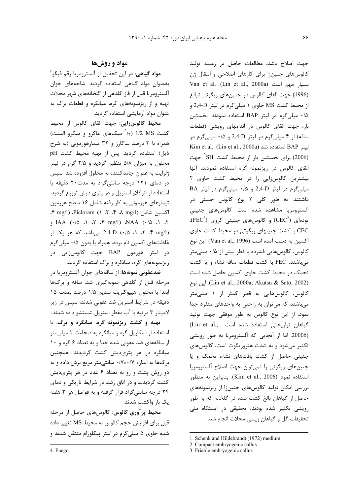# **مواد و روشها**

**مواد گیاهی**: در این تحقیق از آلسترومریا رقم فیگو<sup>؟</sup> بهعنوان مواد گیاهی استفاده گردید. شاخههای جوان آلسترومريا قبل از فاز گلدهي از گلخانههاي شهر محلات تهیه و از ریزنمونههای گره، میانگره و قطعات برگ به عنوان مواد آزمايشي استفاده گرديد.

<mark>محیط کالوسزایی:</mark> جهت القای کالوس از محیط کشت MS 1/2 (۱/ نمکهای ماکرو و میکرو المنت) <u>:</u> همراه با ۳ درصد ساکارز و ۳۲ تیمارهورمونی (به شرح ذیل) استفاده گردید. پس از تهیه محیط کشت pH محلول به میزان ۵/۸ تنظیم گردید و ۲/۵ گرم در لیتر ژلرایت به عنوان جامدکننده به محلول افزوده شد. سپس در دمای ۱۲۱ درجه سانتی گراد به مدت ۲۰ دقیقه با استفاده از اتوکلاو استریل و در پتری دیش توزیع گردید. تیمارهای هورمونی به کار رفته شامل ۱۶ سطح هورمون 4 mg/l) Picloram (1 2 4 8 mg/l) 4 )&86 IAA (0/5 1 2 4 mg/l) NAA (0/5 1 2 ، ۲، ۲، ۱۵ (۰/۵ میباشد که هر یک از C,4-D (۰/۵  $\sim$  1  $\sqrt{r}$  mg/l) غلظتهای اکسین نام برده، همراه یا بدون ۰/۵ میلی گرم در ليتر هورمون BAP جهت كالوسزايي در ریزنمونههای گره، میانگره و برگ استفاده گردید.

**ضدعفونی نمونهها**: از ساقههای جوان آلسترومریا در مرحله قبل از گلدهی نمونهگیری شد. ساقه و برگها ابتدا با محلول هیپوکلریت سدیم ۱/۵ درصد بمدت ۱۵ دقیقه در شرایط استریل ضد عفونی شدند، سپس در زیر لامینار ۳ مرتبه با آب مقطر استریل شستشو داده شدند.

 7 **:\* % +, -+ -() #\$ % -&'** استفاده از اسکارپل گره و میانگره به ضخامت ۱ میلیمتر از ساقههای ضد عفونی شده جدا و به تعداد ۶ گره و ۱۰ میانگره در هر پتریدیش کشت گردیدند. همچنین برگها به اندازه ۰/۷×۰/۷ سانتیمتر مربع برش داده و به دو روش پشت و رو به تعداد ۶ عدد در هر پتریدیش کشت گردیدند و در اتاق رشد در شرایط تاریکی و دمای ۲۴ درجه سانتیگراد قرار گرفته و به فواصل هر ۳ هفته یک بار واکشت شدند.

محیط پر آوری کالوس: کالوسهای حاصل از مرحله قبل برای افزایش حجم کالوس به محیط MS تغییر داده شده حاوی ۵ میلیگرم در لیتر پیکلورام منتقل شدند و جهت اصلاح باشد، مطالعات حاصل در زمينه توليد كالوس هاى جنينزا براى كارهاى اصلاحى و انتقال ژن Van et al. .(Lin et al., 2000a) بسيار مهم است (1996) جهت القاى كالوس در جنينهاى زيگوتى نابالغ از محیط کشت MS حاوی ۱ میلیگرم در لیتر 2,4-D و ۰/۵ میلیگرم در لیتر BAP استفاده نمودند. نخستین بار، جهت القای کالوس در اندامهای رویشی (قطعات ساقه) از ۴ میلیگرم در لیتر 2,4-D و ۰/۵ میلیگرم در ليتر BAP استفاده شد (Lin et al., 2000a). Eim et al (2006) برای نخستین بار از محیط کشت SH<sup>'</sup> جهت القای کالوس در ریزنمونه گره استفاده نمودند. آنها بیشترین کالوس زایی را در محیط کشت حاوی ٢ BA میلی گرم در لیتر 2,4-D و ۰/۵ میلی گرم در لیتر داشتند. به طور کلی ۲ نوع کالوس جنینی در آلسترومریا مشاهده شده است. کالوسهای جنینی  $(\text{FEC}^3)$  تودهای  $(\text{CEC}^2)$  و کالوسهای جنینی کروی EC با کشت جنینهای زیگوتی در محیط کشت حاوی اکسین به دست آمده است (Van et al., 1996). این نوع کالوس، کالوسهایی فشرده با قطر بیش از ۰/۵ میلیمتر میباشند. FEC با کشت قطعات ساقه نشاء و یا کشت تخمک در محیط کشت حاوی اکسین حاصل شده است e )6 .(Lin et al., 2000a; Akutsu & Sato, 2002) کالوس، کالوسهایی به قطر کمتر از ۱ میلیمتر میباشند که میتوان به راحتی به واحدهای منفرد جدا نمود. از این نوع کالوس به طور موفقی جهت تولید j گیاهان تراریختی استفاده شده است .Lin et al) (2000b. اما از آنجایی که آلسترومریا به طور رویشی تکثیر میشود و به شدت هتروزیگوت است، کالوسهای جنینی حاصل از کشت بافتهای نشاء، تخمک و یا جنینهای زیگوتی را نمیتوان جهت اصلاح ألسترومریا استفاده نمود (Kim et al., 2006). بنابراین به منظور بررسی امکان تولید کالوسهای جنینزا از ریزنمونههای حاصل از گیاهان بالغ کشت شده در گلخانه که به طور رویشی تکثیر شده بودند، تحقیقی در ایستگاه ملی تحقيقات گل و گياهان زينتي محلات انجام شد.

<sup>1.</sup> Schenk and Hildebrandt (1972) medium

<sup>2.</sup> Compact embryogenic callus

<sup>3.</sup> Friable embryogenic callus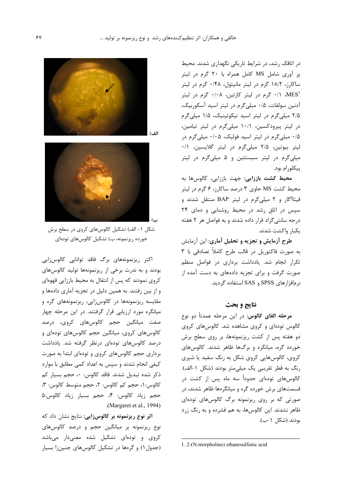در اتاقک رشد، در شرایط تاریکی نگهداری شدند. محیط پر آوری شامل MS کامل همراه با ۲۰ گرم در لیتر ساکارز، ۱۸/۲ گرم در لیتر مانیتول، ۰/۴۸ گرم در لیتر ، ۱/۰ گرم در لیتر کازئین، ۰/۰۸ گرم در لیتر  $\cdot$ ۰/۰ گرم در لیتر آدنین سولفات، ۰/۵ میلیگرم در لیتر اسید آسکوربیک، ۲/۵ میلی گرم در لیتر اسید نیکوتینیک، ۱/۵ میلی گرم در لیتر پیرودکسین، ۱۰/۱ میلی گرم در لیتر تیامین، ۰/۵ میلی گرم در لیتر اسید فولیک، ۰/۰۵ میلی گرم در لیتر بیوتین، ۲/۵ میلیگرم در لیتر گلایسین، ۰/۱ میلیگرم در لیتر سیستئین و ۵ میلیگرم در لیتر پیکلورام بود.

محیط کشت باززایی: جهت باززایی، کالوسها به محیط کشت MS حاوی ۳ درصد ساکارز، ۶ گرم در لیتر فیتاآگار و ۲ میلیگرم در لیتر BAP منتقل شدند و سپس در اتاق رشد در محیط روشنایی و دمای ۲۴ درجه سانتیگراد قرار داده شدند و به فواصل هر ۲ هفته يكبار واكشت شدند.

طرح آزمایش و تجزیه و تحلیل آماری: این آزمایش به صورت فاکتوریل در قالب طرح کاملاً تصادفی با ۳ تکرار انجام شد. یادداشت برداری در فواصل منظم صورت گرفت و برای تجزیه دادههای به دست آمده از نرمافزارهای SPSS و SAS استفاده گردید.

# نتايج و بحث

**مرحله القای کالوس**: در این مرحله عمدتاً دو نوع کالوس تودهای و کروی مشاهده شد. کالوسهای کروی دو هفته پس از کشت ریزنمونهها، بر روی سطح برش خورده گره، میانگره و برگها ظاهر شدند. کالوسهای کروی، کالوسهایی کروی شکل به رنگ سفید یا شیری رنگ به قطر تقریبی یک میلی متر بودند (شکل ۱-الف). کالوسهای تودهای حدوداً سه ماه پس از کشت در قسمتهای برش خورده گره و میانگرهها ظاهر شدند، در صورتی که بر روی ریزنمونه برگ کالوسهای تودهای ظاهر نشدند. این کالوسها، به هم فشرده و به رنگ زرد بودند (شكل ١-ب).

1. 2-(N-morpholino) ethanesulfonic acid



الف)



شکل ۱- الف) تشکیل کالوس های کروی در سطح برش خورده ریزنمونه، ب) تشکیل کالوسهای تودهای

اکثر ریزنمونههای برگ فاقد توانایی کالوسزایی بودند و به ندرت برخی از ریزنمونهها تولید کالوسهای کروی نمودند که پس از انتقال به محیط باززایی قهوهای و از بین رفتند. به همین دلیل در تجزیه آماری دادهها و مقایسه ریزنمونهها در کالوس;ایی، ریزنمونههای گره و میانگره مورد ارزیابی قرار گرفتند. در این مرحله چهار صفت میانگین حجم کالوسهای کروی، درصد کالوسهای کروی، میانگین حجم کالوسهای تودهای و درصد کالوسهای تودهای درنظر گرفته شد. یادداشت برداری حجم کالوسهای کروی و تودهای ابتدا به صورت کیفی انجام شدند و سپس به اعداد کمی مطابق با موارد ذکر شده تبدیل شدند. فاقد کالوس: ٠، حجم بسیار کم كالوس: ١، حجم كم كالوس: ٢، حجم متوسط كالوس: ٣، حجم زياد كالوس: ۴، حجم بسيار زياد كالوس:۵ .(Margaret et al., 1994)

اثر نوع ریزنمونه بر کالوسزایی: نتایج نشان داد که نوع ریزنمونه بر میانگین حجم و درصد کالوسهای کروی و تودهای تشکیل شده معنیدار میباشد (جدول ۱) و گرهها در تشکیل کالوسهای جنین;ا بسیار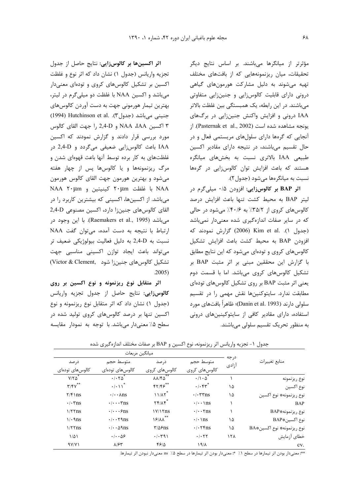مؤثرتر از میانگرها میباشند. بر اساس نتایج دیگر تحقیقات، میان ریزنمونههایی که از بافتهای مختلف تهیه میشوند به دلیل مشارکت هورمونهای گیاهی درونی دارای قابلیت کالوس زایی و جنین زایی متفاوتی میباشند. در این رابطه، یک همبستگی بین غلظت بالاتر LAA درونی و افزایش واکنش جنینزایی در برگهای یونجه مشاهده شده است (Pasternak et al., 2002). از آنجایی که گرهها دارای سلولهای مریستمی فعال و در حال تقسیم میباشند، در نتیجه دارای مقادیر اکسین طبیعی IAA بالاتری نسبت به بخشهای میانگره هستند که باعث افزایش توان کالوس;ایی در گرهها نسبت به میانگرهها میشود (جدول۲).

اثر BAP بر كالوسزايي: افزودن ۰/۵ ميليگرم در ليتر BAP به محيط كشت تنها باعث افزايش درصد كالوس هاي كروي از ٣٥/٢٪ به ٠/٤٠٪ مي شود در حالي که در سایر صفات اندازهگیری شده معنیدار نمیباشد (جدول ۱). .Kim et al (2006) گزارش نمودند که افزودن BAP به محيط كشت باعث افزايش تشكيل کالوسهای کروی و تودهای میشود که این نتایج مطابق با گزارش این محققین مبنی بر اثر مثبت BAP بر تشکیل کالوسهای کروی میباشد. اما با قسمت دوم یعنی اثر مثبت BAP بر روی تشکیل کالوسهای تودهای مطابقت ندارد. سایتوکنینها نقش مهمی را در تقسیم سلولی دارند (Danin et al. 1993)؛ ظاهراً بافتهای مورد استفاده، دارای مقادیر کافی از سایتوکینینهای درونی به منظور تحریک تقسیم سلولی می باشند.

**اثر اکسینها بر کالوسزایی:** نتایج حاصل از جدول تجزيه واريانس (جدول ١) نشان داد كه اثر نوع و غلظت اکسین بر تشکیل کالوسهای کروی و تودهای معنیدار میباشد و اکسین NAA با غلظت دو میلی گرم در لیتر، بهترین تیمار هورمونی جهت به دست آوردن کالوسهای (1994) Hutchinson et al. .(3P) (1994) Hutchinson et al. ٣ اكسين NAA ،IAA و 2,4-D را جهت القاي كالوس مورد بررسی قرار دادند و گزارش نمودند که اکسین IAA باعث كالوس زايي ضعيفي مي گردد و 2,4-D در غلظتهای به کار برده توسط آنها باعث قهوهای شدن و مرگ ریزنمونهها و یا کالوسها پس از چهار هفته میشود و بهترین هورمون جهت القای کالوس هورمون NAA 7·µm با غلظت ۲۰µm كينيتين و NAA 7 میباشد. از اکسینها، اکسینی که بیشترین کاربرد را در القاي كالوسهاي جنين;ا دارد، اكسين مصنوعي 2,4-D میباشد (Raemakers et al., 1995). با این وجود در ارتباط با نتیجه به دست آمده، میتوان گفت NAA نسبت به 2,4-D به دليل فعاليت بيولوژيكي ضعيف تر میتواند باعث ایجاد توازن اکسینی مناسبی جهت تشكيل كالوس هاى جنين زا شود ,Victor & Clement .2005)

اثر متقابل نوع ریزنمونه و نوع اکسین بر روی كالوس زايى: نتايج حاصل از جدول تجزيه واريانس (جدول ۱) نشان داد که اثر متقابل نوع ریزنمونه و نوع اکسین تنها بر درصد کالوسهای کروی تولید شده در سطح ۰/۵ معنیدار میباشد. با توجه به نمودار مقایسه

| ميانگين مربعات          |                                     |                                   |                                        |               |                            |  |
|-------------------------|-------------------------------------|-----------------------------------|----------------------------------------|---------------|----------------------------|--|
| در صد                   | متوسط حجم                           | د, صد                             | متوسط حجم                              | درجه<br>آزادى | منابع تغييرات              |  |
| كالوسهاى تودەاى         | کالوس های تودهای                    | کالوس های کروی                    | كالوس6اي كروى                          |               |                            |  |
| $Y/Y\Delta^*$           | $\cdot$ $\cdot$ $\tau\Delta^*$      | $\lambda \lambda / f \Delta^{**}$ | $\cdot/\cdot \Delta^*$                 |               | نوع ريزنمونه               |  |
| $\mathbf{r}/\mathbf{r}$ |                                     | $f\gamma/ff^{\ast\ast}$           | $\cdot$ / $\cdot$ $\uparrow\uparrow^*$ | ۱۵            | نوع اكسين                  |  |
| $\frac{7}{5}$ \ ns      | $\cdot/\cdot \cdot$ Ans             | 11/17                             | $\cdot$ / $\cdot$ ۳۳ns                 | ۱۵            | نوع ريزنمونه۞ نوع اكسين    |  |
| $\cdot$ / $\cdot$ ۳ns   | $\cdot/\cdot\cdot\cdot\mathsf{rms}$ | $Yf/\lambda f^*$                  | $\cdot/\cdot\cdot\$ ns                 |               | <b>BAP</b>                 |  |
| $1/5$ Tns               | $\cdot/\cdot\cdot$ $\epsilon$ ns    | $\frac{\gamma}{\gamma}$           | $\cdot/\cdot \cdot \text{Yns}$         |               | نوع ريزنمونه#BAP           |  |
| $1/4$ ans               | $\cdot/\cdot\cdot$ 79.08            | $15/\lambda \lambda$              |                                        | ۱۵            | نوع اكسين#BAP              |  |
| $1/5$ Tns               | $\cdot/\cdot \cdot \Delta$ 9. 9115  | $T/\Delta$ ۶ns                    | $\cdot$ / $\cdot$ $\tau$ $\epsilon$ ns | ۱۵            | نوع ريزنمونه، نوع اكسين#BA |  |
| $1/\Delta$              | $\cdot$ / $\cdot$ ۵۶                | .7.791                            | .7.57                                  | ۱۲۸           | خطاى آزمايش                |  |
| 97/71                   | $\lambda$ /۶۳                       | ۴۶۱۵                              | $19/\lambda$                           |               | CV.                        |  |

جدول ١- تجزيه واريانس اثر ريزنمونه، نوع اكسين و BAP بر صفات مختلف اندازهگيرى شده

\*\*: معنىدار بودن اثر تيمارها در سطح ١٪ \*: معنىدار بودن اثر تيمارها در سطح ۩٪ ms. معنىدار نبودن اثر تيمارها.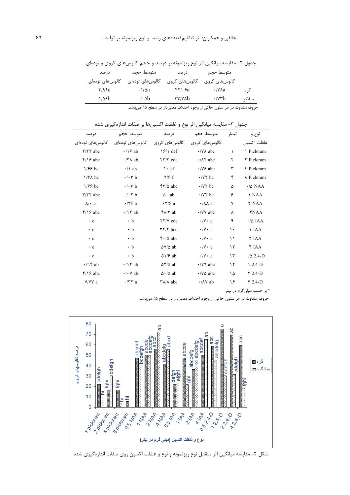جدول ۲- مقایسه میانگین اثر نوع ریزنمونه بر درصد و حجم کالوسهای کروی و تودهای درصد متوسط حجم متوسط حجم در صد کالوس های کروی کالوس های کروی کالوس های تودهای کالوس های تودهای  $\mathbf{r}/\mathbf{q}$ a  $\cdot/\sqrt{aa}$  $FT \cdot 5a$  $\cdot$ / $\vee$ Aa گر ه  $1/85b$  $\cdot/\cdot \Delta b$  $\tau\tau/\nu\Delta b$  $\cdot$ / $\vee$ r $b$ ميانگره

حروف متفاوت در هر ستون حاکی از وجود اختلاف معنیدار در سطح ۰٪ میباشد.

| در صد                 | متوسط حجم                      | در صد                             | متوسط حجم                 | تيمار     | نوع و                    |
|-----------------------|--------------------------------|-----------------------------------|---------------------------|-----------|--------------------------|
| كالوسهاى تودهاى       | كالوس6عاى تودەاي               | كالوس@اي كروي                     | كالوس@اي كروي             |           | غلظت اكسين               |
| $Y/YY$ abc            | $\cdot$ / $\circ$ ab           | $\frac{9}{1}$ def                 | $\cdot$ /YA abc           | $\lambda$ | ↑ Picloram               |
| $\frac{5}{2}$ /16 abc | $\cdot$ /۲ $\wedge$ ab         | $\tau \tau/\tau$ cde              | $\cdot$ / $\wedge$ abc    | ٢         | Y Picloram               |
| $1/55$ bc             | $\cdot$ / \ ab                 | $\cdot$ ef                        | $\cdot$ /Y $\epsilon$ abc | ٣         | <b>F</b> Picloram        |
| $1/TA$ bc             | $\cdot/\cdot \tau$ b           | $\frac{7}{5}$ f                   | $\cdot$ /Y $\tau$ bc      | ۴         | A Picloram               |
| $1/55$ bc             | $\cdot$ / $\cdot$ ۳ b          | $\frac{8}{10}$ abc                | $\cdot$ /Y $\tau$ bc      | ۵         | $\cdot$ / $\Delta$ NAA   |
| $Y/YY$ abc            | $\cdot$ / $\cdot$ $\uparrow$ b | $\Delta \cdot ab$                 | $\cdot$ /Y $\tau$ bc      | ۶         | <b>NAA</b>               |
| $\lambda$ a           | $\cdot$ /۳۶ a                  | $55/6$ a                          | $\cdot/\lambda\lambda$ a  | ٧         | <b>Y NAA</b>             |
| $\frac{5}{2}$ /18 abc | $\cdot$ /17 ab                 | $f \wedge / f$ ab                 | $\cdot$ /VV abc           | ٨         | <b>YNAA</b>              |
| $\cdot$ c             | $\cdot$ b                      | <b>TY/V</b> cde                   | $\cdot$ /Y $\cdot$ c      | ٩         | $\cdot$ / $\Delta$ IAA   |
| $\cdot$ c             | $\cdot$ b                      | <b>TF/F</b> bcd                   | $\cdot$ /Y $\cdot$ c      | ۱۰        | <b>IAA</b>               |
| $\cdot$ c             | $\cdot$ b                      | $\mathfrak{r} \cdot / \Delta$ abc | $\cdot$ /Y $\cdot$ c      | ۱۱        | <b>Y</b> IAA             |
| $\cdot$ c             | $\cdot$ b                      | $\Delta V/\Delta$ ab              | $\cdot$ /Y $\cdot$ c      | ۱۲        | FIAA                     |
| $\cdot$ c             | $\cdot$ b                      | $\Delta$ \/ $\epsilon$ ab         | $\cdot$ /Y $\cdot$ c      | ۱۳        | $\cdot$ / $\Delta$ 2,4-D |
| $9/9$ f ab            | $\cdot/\$ ab                   | $\Delta \Upsilon / \Delta$ ab     | $\cdot$ /Y abc            | ۱۴        | $12,4-D$                 |
| $f/\sqrt{2}$ abc      | $\cdot$ / $\cdot$ Y ab         | $\Delta \cdot / \Delta$ ab        | $\cdot$ /Y $\Delta$ abc   | ۱۵        | $72,4-D$                 |
| Y/YY a                | $\cdot$ /۳۲ a                  | $\mathsf{Y}\lambda/\lambda$ abc   | $\cdot$ / $\wedge$ Y ab   | ۱۶        | $$2,4-D$                 |

جدول ٣- مقايسه ميانگين اثر نوع و غلظت اكسينها بر صفات اندازهگيري شده

\* بر حسب میلی گرم در لیتر

حروف متفاوت در هر ستون حاکی از وجود اختلاف معنیدار در سطح ۰٫۵ میباشد.



شکل ۲- مقایسه میانگین اثر متقابل نوع ریزنمونه و نوع و غلظت اکسین روی صفات اندازهگیری شده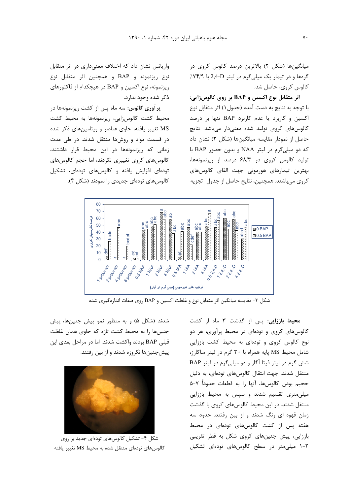میانگینها (شکل ۲) بالاترین درصد کالوس کروی در گرهها و در تیمار یک میلی گرم در لیتر 2,4-D با ۷۴/۹٪ كالوس كروي، حاصل شد.

اثر متقابل نوع اکسین و BAP بر روی کالوسزایی: با توجه به نتايج به دست آمده (جدول ۱) اثر متقابل نوع اکسین و کاربرد یا عدم کاربرد BAP تنها بر درصد کالوس های کروی تولید شده معنیدار میباشد. نتایج حاصل از نمودار مقایسه میانگینها (شکل ۳) نشان داد که دو میلیگرم در لیتر NAA و بدون حضور BAP با تولید کالوس کروی در ۶۸/۳ درصد از ریزنمونهها، بهترين تيمارهاي هورموني جهت القاي كالوسهاي کروی میباشند. همچنین، نتایج حاصل از جدول تجزیه

واریانس نشان داد که اختلاف معنیداری در اثر متقابل نوع ريزنمونه و BAP و همچنين اثر متقابل نوع ریزنمونه، نوع اکسین و BAP در هیچکدام از فاکتورهای ذکر شده وجود ندارد.

پرآوری کالوس: سه ماه پس از کشت ریزنمونهها در محیط کشت کالوسزایی، ریزنمونهها به محیط کشت MS تغییر یافته، حاوی عناصر و ویتامینهای ذکر شده در قسمت مواد و روشها منتقل شدند. در طی مدت زمانی که ریزنمونهها در این محیط قرار داشتند، كالوسهاى كروى تغييرى نكردند، اما حجم كالوسهاى تودهای افزایش یافته و کالوسهای تودهای، تشکیل کالوسهای تودهای جدیدی را نمودند (شکل ۴).



شکل ۳- مقایسه میانگین اثر متقابل نوع و غلظت اکسین و BAP روی صفات اندازهگیری شده

محیط باززایی: پس از گذشت ۳ ماه از کشت کالوسهای کروی و تودهای در محیط پرآوری، هر دو نوع کالوس کروی و تودهای به محیط کشت باززایی شامل محيط MS پايه همراه با ٣٠ گرم در ليتر ساكارز، شش گرم در لیتر فیتا آگار و دو میلی گرم در لیتر BAP منتقل شدند. جهت انتقال کالوسهای تودهای، به دلیل حجيم بودن كالوسها، آنها را به قطعات حدوداً ٧-۵ میلی متری تقسیم شدند و سپس به محیط باززایی منتقل شدند. در این محیط کالوسهای کروی با گذشت زمان قهوه ای رنگ شدند و از بین رفتند. حدود سه هفته پس از کشت کالوسهای تودهای در محیط باززایی، پیش جنینهای کروی شکل به قطر تقریبی ۲-۱ میلی متر در سطح کالوس های تودهای تشکیل

شدند (شکل ۵) و به منظور نمو پیش جنینها، پیش جنینها را به محیط کشت تازه که حاوی همان غلظت قبلی BAP بودند واکشت شدند. اما در مراحل بعدی این ییش جنینها نکروزه شدند و از بین رفتند.



شکل ۴- تشکیل کالوسهای تودهای جدید بر روی كالوس هاي تودهاي منتقل شده به محيط MS تغيير يافته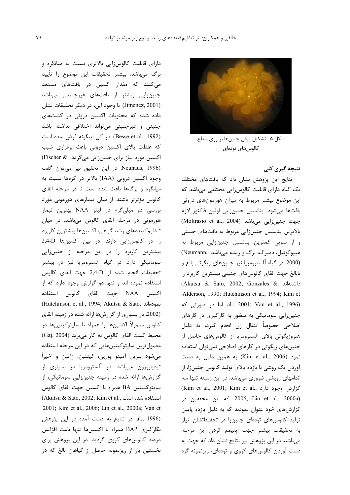

شکل ۵- تشکیل پیش جنینها بر روی سطح كالوس@اى تودەاى

## **. ->**

نتایج این پژوهش نشان داد که بافتهای مختلف یک گیاه دارای قابلیت کالوسزایی مختلفی میباشد که این موضوع بیشتر مربوط به میزان هورمونهای درونی بافتها میشود. پتانسیل جنینزایی اولین فاکتور لازم (Moltrasio et al., 2004) جهت جنين زايى مى باشد بالاترین پتانسیل جنینزایی مربوط به بافتهای جنینی و از سویی کمترین پتانسیل جنینزایی مربوط به (Neumann, هیپوکوتیل، دمبرگ، برگ و ریشه میباشد (2000. در گیاه آلسترومریا نیز جنینهای زیگوتی بالغ و نابالغ جهت القاي كالوسهاي جنيني بيشترين كاربرد را  $(Akutsu & Sato, 2002; Gonzales & 610-61)$ داشتهاند & 616 .Alderson, 1990; Hutchinson et al., 1994; Kim et 18 al., 2001; Van et al., 1996) al., 2001; Van et al.,  $1996$ جنینزایی سوماتیکی به منظور به کارگیری در کارهای اصلاحی خصوصاً انتقال ژن انجام گیرد، به دلیل هتروزیگوتی بالای آلسترومریا از کالوسهای حاصل از جنینهای زیگوتی در کارهای اصلاحی نمیتوان استفاده مود (1006 Kim et al., 2006) به همین دلیل به دست <u>:</u> آوردن یک روشی با بازده بالای تولید کالوس جنینزا، از اندامهای رویشی ضروری میباشد. در این زمینه تنها سه (Kim et al., 2001; Kim et al., 3 كزارش وجود دارد 2006; Lin et al., 2000a) كه اين محققين در گزارشهای خود عنوان نمودند که به دلیل بازده پایین تولید کالوسهای تودهای جنینزا در تحقیقاتشان، نیاز به تحقيقات بيشتر جهت اپتيمم كردن اين مرحله میباشد. در این پژوهش نیز نتایج نشان داد که جهت به دست آوردن کالوسهای کروی و تودهای، ریزنمونه گره

دارای قابلیت کالوس;ایی بالاتری نسبت به میانگره و برگ میباشد. بیشتر تحقیقات این موضوع را تأیید میکنند که مقدار اکسین در بافتهای مستعد جنینزایی بیشتر از بافتهای غیرجنینی میباشد (Jimenez, 2001). با وجود اين، در ديگر تحقيقات نشان داده شده که محتویات اکسین درونی در کشتهای جنینی و غیرجنینی میتواند اختلافی نداشته باشد (Besse et al., 1992). در كل اينگونه فرض شده است كه غلظت بالاى اكسين درونى باعث برقرارى شيب اکسین مورد نیاز برای جنینزایی میگردد Fischer & 996). در این تحقیق نیز میتوان گفت وجود اکسین درونی (IAA) بالاتر در گرهها نسبت به میانگره و برگها باعث شده است تا در مرحله القای کالوس مؤثرتر باشند. از میان تیمارهای هورمونی مورد بررسی دو میلیگرم در لیتر NAA بهترین تیمار هورمونی در مرحله القای کالوس میباشد. در میان تنظیم کنندههای رشد گیاهی، اکسینها بیشترین کاربرد را در كالوس زايى دارند. در بين اكسينها 2,4-D بیشترین کاربرد را در این مرحله از جنینزایی سوماتیکی دارد. در گیاه آلسترومریا نیز در بیشتر تحقيقات انجام شده از 2,4-D جهت القاى كالوس استفاده نموده اند و تنها دو گزارش وجود دارد که از اکسین NAA جهت القای کالوس استفاده (Hutchinson et al., 1994; Akutsu & Sato, مودهاند j (2002. در بسیاری از گزارشها ارائه شده در زمینه القای كالوس معمولاً اكسينها را همراه با سايتوكينينها در (Gaj, 2004) محيط كشت القاى كالوس به كار مىبرند معمولترين سايتوكينينهايي كه در اين مرحله استفاده میشود بنزیل آمینو پورین، کینتین، زآتین و اخیراً تیدیازورون میباشد. در آلسترومریا در بسیاری از گزارشها ارائه شده در زمینه جنینزایی سوماتیکی، از سايتوكنينين BA همراه با اكسين جهت القاى كالوس  $( {\rm Akutsu \ \&\ \ Sato, 2002;$  Kim et al., استفاده شده است .2001; Kim et al., 2006; Lin et al., 2000a; Van et al., 1996) در نتایج به دست آمده در این پژوهش بکارگیری BAP همراه با اکسینها تنها باعث افزایش درصد کالوسهای کروی گردید. در این پژوهش برای نخستین بار از ریزنمونه حاصل از گیاهان بالغ که در